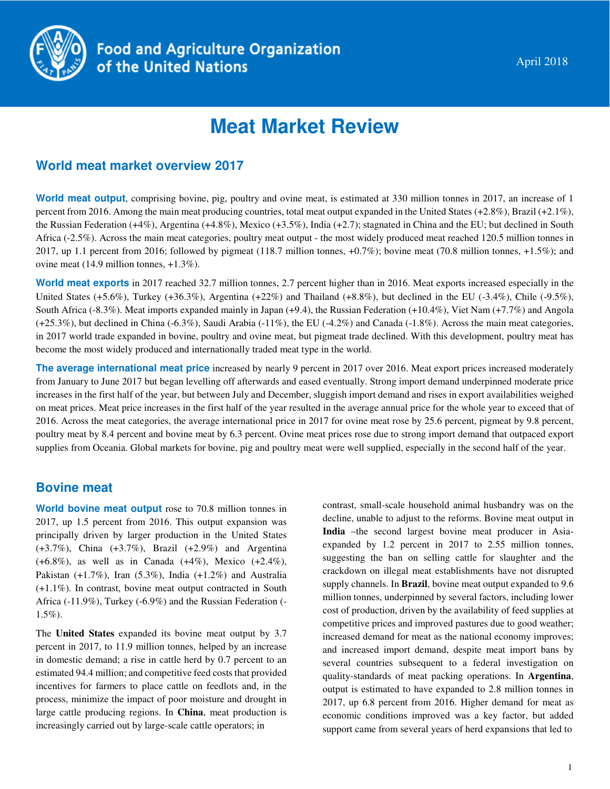

# **Meat Market Review**

## **World meat market overview 2017**

**World meat output**, comprising bovine, pig, poultry and ovine meat, is estimated at 330 million tonnes in 2017, an increase of 1 percent from 2016. Among the main meat producing countries, total meat output expanded in the United States (+2.8%), Brazil (+2.1%), the Russian Federation (+4%), Argentina (+4.8%), Mexico (+3.5%), India (+2.7); stagnated in China and the EU; but declined in South Africa (-2.5%). Across the main meat categories, poultry meat output - the most widely produced meat reached 120.5 million tonnes in 2017, up 1.1 percent from 2016; followed by pigmeat (118.7 million tonnes, +0.7%); bovine meat (70.8 million tonnes, +1.5%); and ovine meat (14.9 million tonnes, +1.3%).

**World meat exports** in 2017 reached 32.7 million tonnes, 2.7 percent higher than in 2016. Meat exports increased especially in the United States (+5.6%), Turkey (+36.3%), Argentina (+22%) and Thailand (+8.8%), but declined in the EU (-3.4%), Chile (-9.5%), South Africa (-8.3%). Meat imports expanded mainly in Japan (+9.4), the Russian Federation (+10.4%), Viet Nam (+7.7%) and Angola  $(+25.3\%)$ , but declined in China  $(-6.3\%)$ , Saudi Arabia  $(-11\%)$ , the EU  $(-4.2\%)$  and Canada  $(-1.8\%)$ . Across the main meat categories, in 2017 world trade expanded in bovine, poultry and ovine meat, but pigmeat trade declined. With this development, poultry meat has become the most widely produced and internationally traded meat type in the world.

**The average international meat price** increased by nearly 9 percent in 2017 over 2016. Meat export prices increased moderately from January to June 2017 but began levelling off afterwards and eased eventually. Strong import demand underpinned moderate price increases in the first half of the year, but between July and December, sluggish import demand and rises in export availabilities weighed on meat prices. Meat price increases in the first half of the year resulted in the average annual price for the whole year to exceed that of 2016. Across the meat categories, the average international price in 2017 for ovine meat rose by 25.6 percent, pigmeat by 9.8 percent, poultry meat by 8.4 percent and bovine meat by 6.3 percent. Ovine meat prices rose due to strong import demand that outpaced export supplies from Oceania. Global markets for bovine, pig and poultry meat were well supplied, especially in the second half of the year.

## **Bovine meat**

**World bovine meat output** rose to 70.8 million tonnes in 2017, up 1.5 percent from 2016. This output expansion was principally driven by larger production in the United States (+3.7%), China (+3.7%), Brazil (+2.9%) and Argentina (+6.8%), as well as in Canada (+4%), Mexico (+2.4%), Pakistan (+1.7%), Iran (5.3%), India (+1.2%) and Australia (+1.1%). In contrast, bovine meat output contracted in South Africa (-11.9%), Turkey (-6.9%) and the Russian Federation (- 1.5%).

The **United States** expanded its bovine meat output by 3.7 percent in 2017, to 11.9 million tonnes, helped by an increase in domestic demand; a rise in cattle herd by 0.7 percent to an estimated 94.4 million; and competitive feed costs that provided incentives for farmers to place cattle on feedlots and, in the process, minimize the impact of poor moisture and drought in large cattle producing regions. In **China**, meat production is increasingly carried out by large-scale cattle operators; in

contrast, small-scale household animal husbandry was on the decline, unable to adjust to the reforms. Bovine meat output in **India** –the second largest bovine meat producer in Asiaexpanded by 1.2 percent in 2017 to 2.55 million tonnes, suggesting the ban on selling cattle for slaughter and the crackdown on illegal meat establishments have not disrupted supply channels. In **Brazil**, bovine meat output expanded to 9.6 million tonnes, underpinned by several factors, including lower cost of production, driven by the availability of feed supplies at competitive prices and improved pastures due to good weather; increased demand for meat as the national economy improves; and increased import demand, despite meat import bans by several countries subsequent to a federal investigation on quality-standards of meat packing operations. In **Argentina**, output is estimated to have expanded to 2.8 million tonnes in 2017, up 6.8 percent from 2016. Higher demand for meat as economic conditions improved was a key factor, but added support came from several years of herd expansions that led to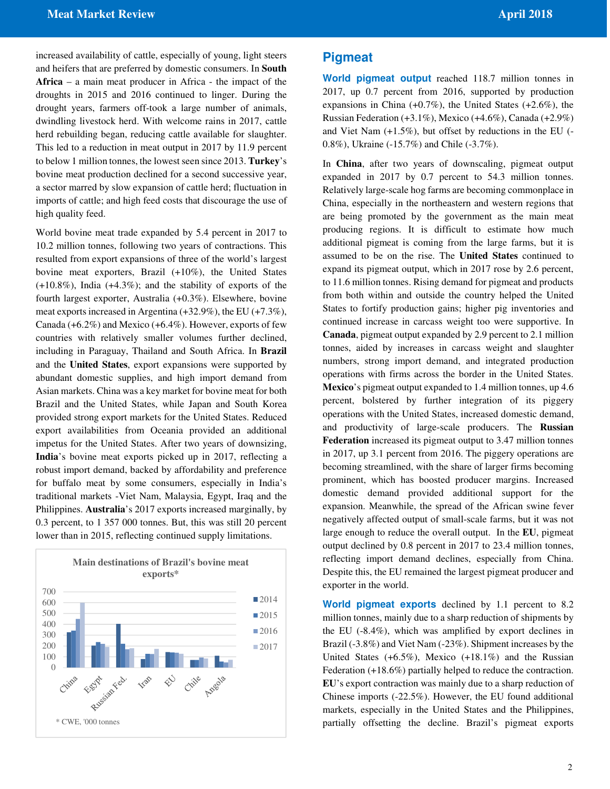increased availability of cattle, especially of young, light steers and heifers that are preferred by domestic consumers. In **South Africa** – a main meat producer in Africa - the impact of the droughts in 2015 and 2016 continued to linger. During the drought years, farmers off-took a large number of animals, dwindling livestock herd. With welcome rains in 2017, cattle herd rebuilding began, reducing cattle available for slaughter. This led to a reduction in meat output in 2017 by 11.9 percent to below 1 million tonnes, the lowest seen since 2013. **Turkey**'s bovine meat production declined for a second successive year, a sector marred by slow expansion of cattle herd; fluctuation in imports of cattle; and high feed costs that discourage the use of high quality feed.

World bovine meat trade expanded by 5.4 percent in 2017 to 10.2 million tonnes, following two years of contractions. This resulted from export expansions of three of the world's largest bovine meat exporters, Brazil (+10%), the United States (+10.8%), India (+4.3%); and the stability of exports of the fourth largest exporter, Australia (+0.3%). Elsewhere, bovine meat exports increased in Argentina (+32.9%), the EU (+7.3%), Canada (+6.2%) and Mexico (+6.4%). However, exports of few countries with relatively smaller volumes further declined, including in Paraguay, Thailand and South Africa. In **Brazil** and the **United States**, export expansions were supported by abundant domestic supplies, and high import demand from Asian markets. China was a key market for bovine meat for both Brazil and the United States, while Japan and South Korea provided strong export markets for the United States. Reduced export availabilities from Oceania provided an additional impetus for the United States. After two years of downsizing, **India**'s bovine meat exports picked up in 2017, reflecting a robust import demand, backed by affordability and preference for buffalo meat by some consumers, especially in India's traditional markets -Viet Nam, Malaysia, Egypt, Iraq and the Philippines. **Australia**'s 2017 exports increased marginally, by 0.3 percent, to 1 357 000 tonnes. But, this was still 20 percent lower than in 2015, reflecting continued supply limitations.



## **Pigmeat**

**World pigmeat output** reached 118.7 million tonnes in 2017, up 0.7 percent from 2016, supported by production expansions in China  $(+0.7\%)$ , the United States  $(+2.6\%)$ , the Russian Federation  $(+3.1\%)$ , Mexico  $(+4.6\%)$ , Canada  $(+2.9\%)$ and Viet Nam (+1.5%), but offset by reductions in the EU (- 0.8%), Ukraine (-15.7%) and Chile (-3.7%).

In **China**, after two years of downscaling, pigmeat output expanded in 2017 by 0.7 percent to 54.3 million tonnes. Relatively large-scale hog farms are becoming commonplace in China, especially in the northeastern and western regions that are being promoted by the government as the main meat producing regions. It is difficult to estimate how much additional pigmeat is coming from the large farms, but it is assumed to be on the rise. The **United States** continued to expand its pigmeat output, which in 2017 rose by 2.6 percent, to 11.6 million tonnes. Rising demand for pigmeat and products from both within and outside the country helped the United States to fortify production gains; higher pig inventories and continued increase in carcass weight too were supportive. In **Canada**, pigmeat output expanded by 2.9 percent to 2.1 million tonnes, aided by increases in carcass weight and slaughter numbers, strong import demand, and integrated production operations with firms across the border in the United States. **Mexico**'s pigmeat output expanded to 1.4 million tonnes, up 4.6 percent, bolstered by further integration of its piggery operations with the United States, increased domestic demand, and productivity of large-scale producers. The **Russian Federation** increased its pigmeat output to 3.47 million tonnes in 2017, up 3.1 percent from 2016. The piggery operations are becoming streamlined, with the share of larger firms becoming prominent, which has boosted producer margins. Increased domestic demand provided additional support for the expansion. Meanwhile, the spread of the African swine fever negatively affected output of small-scale farms, but it was not large enough to reduce the overall output. In the **EU**, pigmeat output declined by 0.8 percent in 2017 to 23.4 million tonnes, reflecting import demand declines, especially from China. Despite this, the EU remained the largest pigmeat producer and exporter in the world.

**World pigmeat exports** declined by 1.1 percent to 8.2 million tonnes, mainly due to a sharp reduction of shipments by the EU (-8.4%), which was amplified by export declines in Brazil (-3.8%) and Viet Nam (-23%). Shipment increases by the United States  $(+6.5\%)$ , Mexico  $(+18.1\%)$  and the Russian Federation (+18.6%) partially helped to reduce the contraction. **EU**'s export contraction was mainly due to a sharp reduction of Chinese imports (-22.5%). However, the EU found additional markets, especially in the United States and the Philippines, partially offsetting the decline. Brazil's pigmeat exports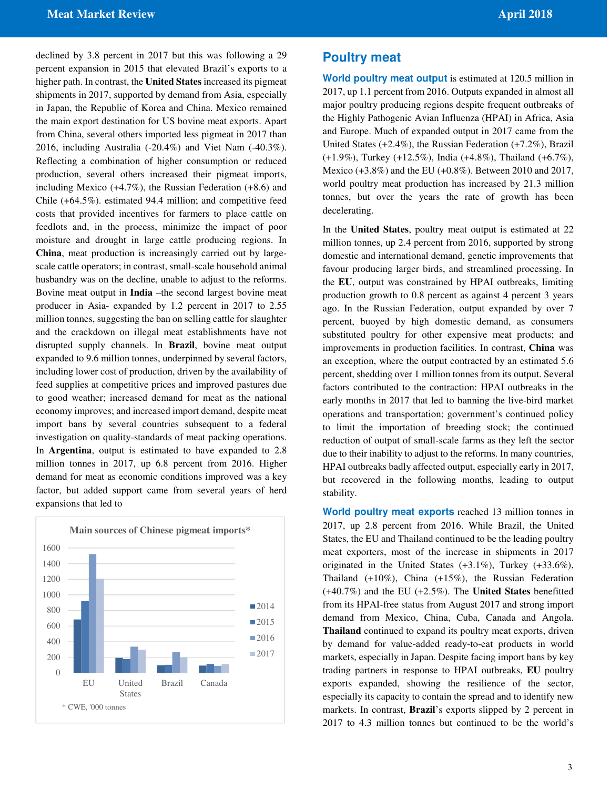declined by 3.8 percent in 2017 but this was following a 29 percent expansion in 2015 that elevated Brazil's exports to a higher path. In contrast, the **United States** increased its pigmeat shipments in 2017, supported by demand from Asia, especially in Japan, the Republic of Korea and China. Mexico remained the main export destination for US bovine meat exports. Apart from China, several others imported less pigmeat in 2017 than 2016, including Australia (-20.4%) and Viet Nam (-40.3%). Reflecting a combination of higher consumption or reduced production, several others increased their pigmeat imports, including Mexico (+4.7%), the Russian Federation (+8.6) and Chile (+64.5%). estimated 94.4 million; and competitive feed costs that provided incentives for farmers to place cattle on feedlots and, in the process, minimize the impact of poor moisture and drought in large cattle producing regions. In **China**, meat production is increasingly carried out by largescale cattle operators; in contrast, small-scale household animal husbandry was on the decline, unable to adjust to the reforms. Bovine meat output in **India** –the second largest bovine meat producer in Asia- expanded by 1.2 percent in 2017 to 2.55 million tonnes, suggesting the ban on selling cattle for slaughter and the crackdown on illegal meat establishments have not disrupted supply channels. In **Brazil**, bovine meat output expanded to 9.6 million tonnes, underpinned by several factors, including lower cost of production, driven by the availability of feed supplies at competitive prices and improved pastures due to good weather; increased demand for meat as the national economy improves; and increased import demand, despite meat import bans by several countries subsequent to a federal investigation on quality-standards of meat packing operations. In **Argentina**, output is estimated to have expanded to 2.8 million tonnes in 2017, up 6.8 percent from 2016. Higher demand for meat as economic conditions improved was a key factor, but added support came from several years of herd expansions that led to



## **Poultry meat**

**World poultry meat output** is estimated at 120.5 million in 2017, up 1.1 percent from 2016. Outputs expanded in almost all major poultry producing regions despite frequent outbreaks of the Highly Pathogenic Avian Influenza (HPAI) in Africa, Asia and Europe. Much of expanded output in 2017 came from the United States (+2.4%), the Russian Federation (+7.2%), Brazil (+1.9%), Turkey (+12.5%), India (+4.8%), Thailand (+6.7%), Mexico (+3.8%) and the EU (+0.8%). Between 2010 and 2017, world poultry meat production has increased by 21.3 million tonnes, but over the years the rate of growth has been decelerating.

In the **United States**, poultry meat output is estimated at 22 million tonnes, up 2.4 percent from 2016, supported by strong domestic and international demand, genetic improvements that favour producing larger birds, and streamlined processing. In the **EU**, output was constrained by HPAI outbreaks, limiting production growth to 0.8 percent as against 4 percent 3 years ago. In the Russian Federation, output expanded by over 7 percent, buoyed by high domestic demand, as consumers substituted poultry for other expensive meat products; and improvements in production facilities. In contrast, **China** was an exception, where the output contracted by an estimated 5.6 percent, shedding over 1 million tonnes from its output. Several factors contributed to the contraction: HPAI outbreaks in the early months in 2017 that led to banning the live-bird market operations and transportation; government's continued policy to limit the importation of breeding stock; the continued reduction of output of small-scale farms as they left the sector due to their inability to adjust to the reforms. In many countries, HPAI outbreaks badly affected output, especially early in 2017, but recovered in the following months, leading to output stability.

**World poultry meat exports** reached 13 million tonnes in 2017, up 2.8 percent from 2016. While Brazil, the United States, the EU and Thailand continued to be the leading poultry meat exporters, most of the increase in shipments in 2017 originated in the United States (+3.1%), Turkey (+33.6%), Thailand (+10%), China (+15%), the Russian Federation (+40.7%) and the EU (+2.5%). The **United States** benefitted from its HPAI-free status from August 2017 and strong import demand from Mexico, China, Cuba, Canada and Angola. **Thailand** continued to expand its poultry meat exports, driven by demand for value-added ready-to-eat products in world markets, especially in Japan. Despite facing import bans by key trading partners in response to HPAI outbreaks, **EU** poultry exports expanded, showing the resilience of the sector, especially its capacity to contain the spread and to identify new markets. In contrast, **Brazil**'s exports slipped by 2 percent in 2017 to 4.3 million tonnes but continued to be the world's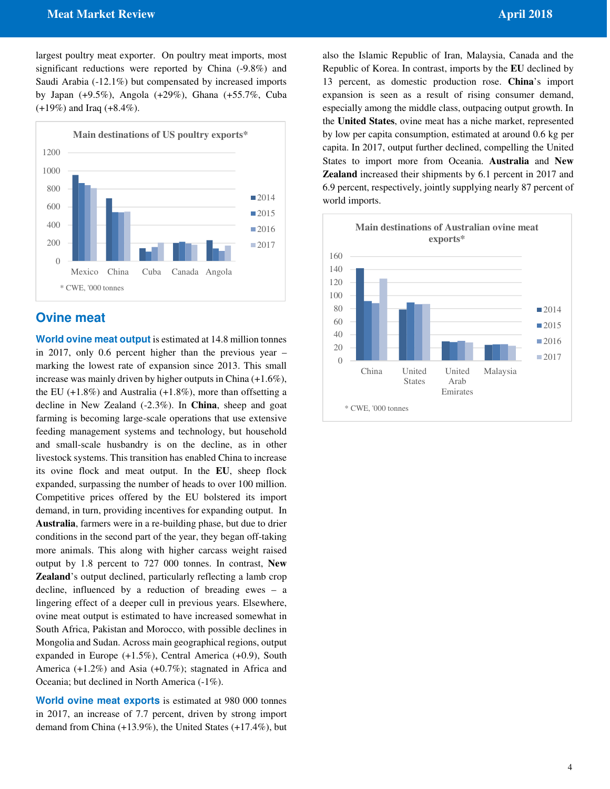#### *Meat Market Review* **April 2018 <b>April 2018**

largest poultry meat exporter. On poultry meat imports, most significant reductions were reported by China (-9.8%) and Saudi Arabia (-12.1%) but compensated by increased imports by Japan (+9.5%), Angola (+29%), Ghana (+55.7%, Cuba (+19%) and Iraq (+8.4%).



## **Ovine meat**

**World ovine meat output** is estimated at 14.8 million tonnes in 2017, only 0.6 percent higher than the previous year – marking the lowest rate of expansion since 2013. This small increase was mainly driven by higher outputs in China (+1.6%), the EU  $(+1.8\%)$  and Australia  $(+1.8\%)$ , more than offsetting a decline in New Zealand (-2.3%). In **China**, sheep and goat farming is becoming large-scale operations that use extensive feeding management systems and technology, but household and small-scale husbandry is on the decline, as in other livestock systems. This transition has enabled China to increase its ovine flock and meat output. In the **EU**, sheep flock expanded, surpassing the number of heads to over 100 million. Competitive prices offered by the EU bolstered its import demand, in turn, providing incentives for expanding output. In **Australia**, farmers were in a re-building phase, but due to drier conditions in the second part of the year, they began off-taking more animals. This along with higher carcass weight raised output by 1.8 percent to 727 000 tonnes. In contrast, **New Zealand**'s output declined, particularly reflecting a lamb crop decline, influenced by a reduction of breading ewes – a lingering effect of a deeper cull in previous years. Elsewhere, ovine meat output is estimated to have increased somewhat in South Africa, Pakistan and Morocco, with possible declines in Mongolia and Sudan. Across main geographical regions, output expanded in Europe (+1.5%), Central America (+0.9), South America (+1.2%) and Asia (+0.7%); stagnated in Africa and Oceania; but declined in North America (-1%).

**World ovine meat exports** is estimated at 980 000 tonnes in 2017, an increase of 7.7 percent, driven by strong import demand from China (+13.9%), the United States (+17.4%), but

also the Islamic Republic of Iran, Malaysia, Canada and the Republic of Korea. In contrast, imports by the **EU** declined by 13 percent, as domestic production rose. **China**'s import expansion is seen as a result of rising consumer demand, especially among the middle class, outpacing output growth. In the **United States**, ovine meat has a niche market, represented by low per capita consumption, estimated at around 0.6 kg per capita. In 2017, output further declined, compelling the United States to import more from Oceania. **Australia** and **New Zealand** increased their shipments by 6.1 percent in 2017 and 6.9 percent, respectively, jointly supplying nearly 87 percent of world imports.

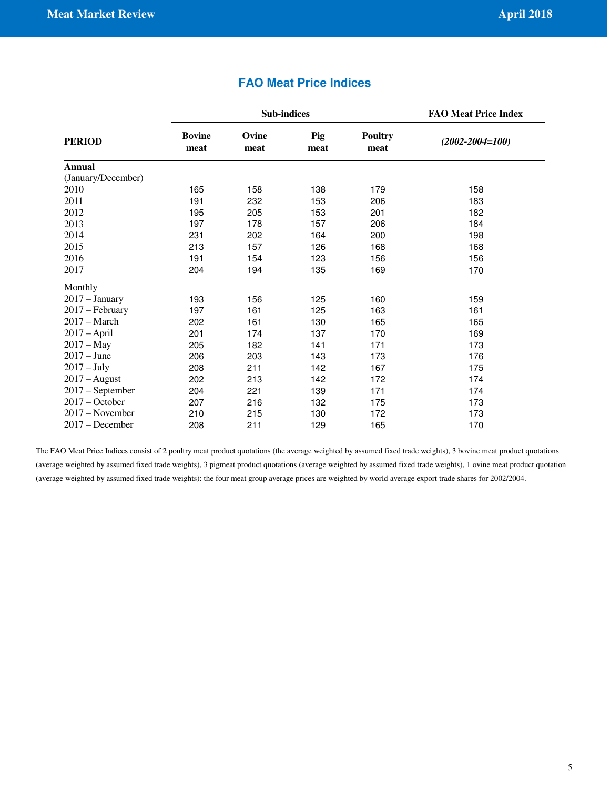|                    |                       | <b>Sub-indices</b> | <b>FAO Meat Price Index</b> |                        |                       |
|--------------------|-----------------------|--------------------|-----------------------------|------------------------|-----------------------|
| <b>PERIOD</b>      | <b>Bovine</b><br>meat | Ovine<br>meat      | Pig<br>meat                 | <b>Poultry</b><br>meat | $(2002 - 2004 = 100)$ |
| <b>Annual</b>      |                       |                    |                             |                        |                       |
| (January/December) |                       |                    |                             |                        |                       |
| 2010               | 165                   | 158                | 138                         | 179                    | 158                   |
| 2011               | 191                   | 232                | 153                         | 206                    | 183                   |
| 2012               | 195                   | 205                | 153                         | 201                    | 182                   |
| 2013               | 197                   | 178                | 157                         | 206                    | 184                   |
| 2014               | 231                   | 202                | 164                         | 200                    | 198                   |
| 2015               | 213                   | 157                | 126                         | 168                    | 168                   |
| 2016               | 191                   | 154                | 123                         | 156                    | 156                   |
| 2017               | 204                   | 194                | 135                         | 169                    | 170                   |
| Monthly            |                       |                    |                             |                        |                       |
| $2017 - January$   | 193                   | 156                | 125                         | 160                    | 159                   |
| 2017 - February    | 197                   | 161                | 125                         | 163                    | 161                   |
| $2017 - March$     | 202                   | 161                | 130                         | 165                    | 165                   |
| $2017 - April$     | 201                   | 174                | 137                         | 170                    | 169                   |
| $2017 - May$       | 205                   | 182                | 141                         | 171                    | 173                   |
| $2017 - June$      | 206                   | 203                | 143                         | 173                    | 176                   |
| $2017 - July$      | 208                   | 211                | 142                         | 167                    | 175                   |
| $2017 - August$    | 202                   | 213                | 142                         | 172                    | 174                   |
| $2017$ – September | 204                   | 221                | 139                         | 171                    | 174                   |
| $2017 - October$   | 207                   | 216                | 132                         | 175                    | 173                   |
| $2017 - November$  | 210                   | 215                | 130                         | 172                    | 173                   |
| $2017 - December$  | 208                   | 211                | 129                         | 165                    | 170                   |

## **FAO Meat Price Indices**

The FAO Meat Price Indices consist of 2 poultry meat product quotations (the average weighted by assumed fixed trade weights), 3 bovine meat product quotations (average weighted by assumed fixed trade weights), 3 pigmeat product quotations (average weighted by assumed fixed trade weights), 1 ovine meat product quotation (average weighted by assumed fixed trade weights): the four meat group average prices are weighted by world average export trade shares for 2002/2004.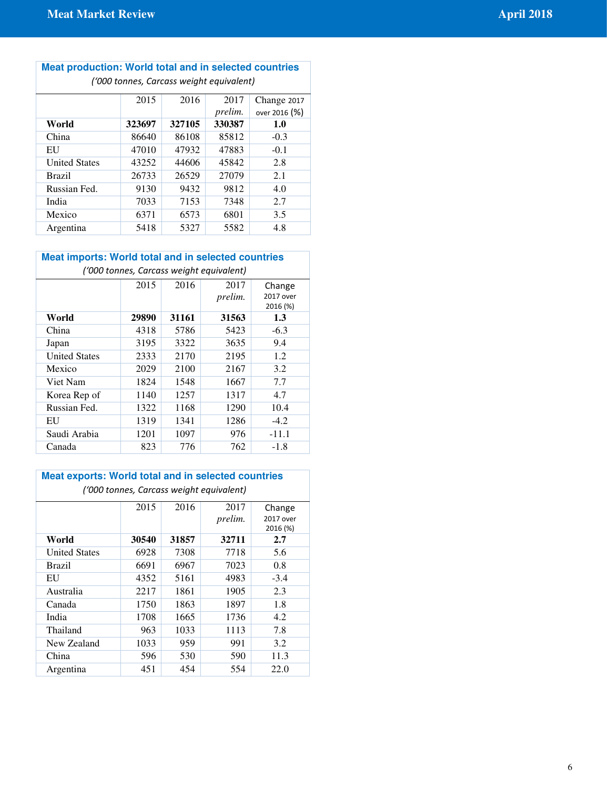| <b>Meat production: World total and in selected countries</b><br>('000 tonnes, Carcass weight equivalent) |        |        |                |               |
|-----------------------------------------------------------------------------------------------------------|--------|--------|----------------|---------------|
|                                                                                                           | 2015   | 2016   | 2017           | Change 2017   |
|                                                                                                           |        |        | <i>prelim.</i> | over 2016 (%) |
| World                                                                                                     | 323697 | 327105 | 330387         | 1.0           |
| China                                                                                                     | 86640  | 86108  | 85812          | $-0.3$        |
| EU                                                                                                        | 47010  | 47932  | 47883          | $-0.1$        |
| <b>United States</b>                                                                                      | 43252  | 44606  | 45842          | 2.8           |
| Brazil                                                                                                    | 26733  | 26529  | 27079          | 2.1           |
| Russian Fed.                                                                                              | 9130   | 9432   | 9812           | 4.0           |
| India                                                                                                     | 7033   | 7153   | 7348           | 2.7           |
| Mexico                                                                                                    | 6371   | 6573   | 6801           | 3.5           |
| Argentina                                                                                                 | 5418   | 5327   | 5582           | 4.8           |

## **Meat imports: World total and in selected countries**

| ('000 tonnes, Carcass weight equivalent) |       |       |         |           |  |  |
|------------------------------------------|-------|-------|---------|-----------|--|--|
|                                          | 2015  | 2016  | 2017    | Change    |  |  |
|                                          |       |       | prelim. | 2017 over |  |  |
|                                          |       |       |         | 2016 (%)  |  |  |
| World                                    | 29890 | 31161 | 31563   | 1.3       |  |  |
| China                                    | 4318  | 5786  | 5423    | $-6.3$    |  |  |
| Japan                                    | 3195  | 3322  | 3635    | 9.4       |  |  |
| <b>United States</b>                     | 2333  | 2170  | 2195    | 1.2       |  |  |
| Mexico                                   | 2029  | 2100  | 2167    | 3.2       |  |  |
| Viet Nam                                 | 1824  | 1548  | 1667    | 7.7       |  |  |
| Korea Rep of                             | 1140  | 1257  | 1317    | 4.7       |  |  |
| Russian Fed.                             | 1322  | 1168  | 1290    | 10.4      |  |  |
| EU                                       | 1319  | 1341  | 1286    | $-4.2$    |  |  |
| Saudi Arabia                             | 1201  | 1097  | 976     | $-11.1$   |  |  |
| Canada                                   | 823   | 776   | 762     | $-1.8$    |  |  |

| <b>Meat exports: World total and in selected countries</b><br>('000 tonnes, Carcass weight equivalent) |       |       |                 |                                 |  |
|--------------------------------------------------------------------------------------------------------|-------|-------|-----------------|---------------------------------|--|
|                                                                                                        | 2015  | 2016  | 2017<br>prelim. | Change<br>2017 over<br>2016 (%) |  |
| World                                                                                                  | 30540 | 31857 | 32711           | 2.7                             |  |
| <b>United States</b>                                                                                   | 6928  | 7308  | 7718            | 5.6                             |  |
| Brazil                                                                                                 | 6691  | 6967  | 7023            | 0.8                             |  |
| EU                                                                                                     | 4352  | 5161  | 4983            | $-3.4$                          |  |
| Australia                                                                                              | 2217  | 1861  | 1905            | 2.3                             |  |
| Canada                                                                                                 | 1750  | 1863  | 1897            | 1.8                             |  |
| India                                                                                                  | 1708  | 1665  | 1736            | 4.2                             |  |
| Thailand                                                                                               | 963   | 1033  | 1113            | 7.8                             |  |
| New Zealand                                                                                            | 1033  | 959   | 991             | 3.2                             |  |
| China                                                                                                  | 596   | 530   | 590             | 11.3                            |  |
| Argentina                                                                                              | 451   | 454   | 554             | 22.0                            |  |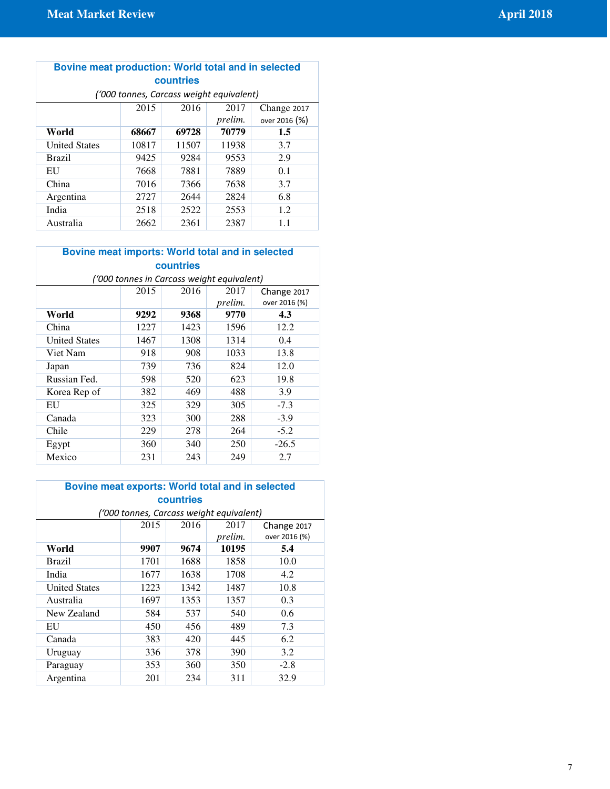#### **Bovine meat production: World total and in selected countries** ('000 tonnes, Carcass weight equivalent)

| TUUU tonnes, Carcass weight equivalent) |       |       |         |               |  |
|-----------------------------------------|-------|-------|---------|---------------|--|
|                                         | 2015  | 2016  | 2017    | Change 2017   |  |
|                                         |       |       | prelim. | over 2016 (%) |  |
| World                                   | 68667 | 69728 | 70779   | $1.5\,$       |  |
| <b>United States</b>                    | 10817 | 11507 | 11938   | 3.7           |  |
| <b>Brazil</b>                           | 9425  | 9284  | 9553    | 2.9           |  |
| EU                                      | 7668  | 7881  | 7889    | 0.1           |  |
| China                                   | 7016  | 7366  | 7638    | 3.7           |  |
| Argentina                               | 2727  | 2644  | 2824    | 6.8           |  |
| India                                   | 2518  | 2522  | 2553    | 1.2           |  |
| Australia                               | 2662  | 2361  | 2387    | 1.1           |  |

## **Bovine meat imports: World total and in selected countries**

| ('000 tonnes in Carcass weight equivalent) |      |      |         |               |  |
|--------------------------------------------|------|------|---------|---------------|--|
|                                            | 2015 | 2016 | 2017    | Change 2017   |  |
|                                            |      |      | prelim. | over 2016 (%) |  |
| World                                      | 9292 | 9368 | 9770    | 4.3           |  |
| China                                      | 1227 | 1423 | 1596    | 12.2          |  |
| <b>United States</b>                       | 1467 | 1308 | 1314    | 0.4           |  |
| Viet Nam                                   | 918  | 908  | 1033    | 13.8          |  |
| Japan                                      | 739  | 736  | 824     | 12.0          |  |
| Russian Fed.                               | 598  | 520  | 623     | 19.8          |  |
| Korea Rep of                               | 382  | 469  | 488     | 3.9           |  |
| EU                                         | 325  | 329  | 305     | $-7.3$        |  |
| Canada                                     | 323  | 300  | 288     | $-3.9$        |  |
| Chile                                      | 229  | 278  | 264     | $-5.2$        |  |
| Egypt                                      | 360  | 340  | 250     | $-26.5$       |  |
| Mexico                                     | 231  | 243  | 249     | 2.7           |  |

## **Bovine meat exports: World total and in selected countries**

| ('000 tonnes, Carcass weight equivalent) |      |      |         |               |  |
|------------------------------------------|------|------|---------|---------------|--|
|                                          | 2015 | 2016 | 2017    | Change 2017   |  |
|                                          |      |      | prelim. | over 2016 (%) |  |
| World                                    | 9907 | 9674 | 10195   | 5.4           |  |
| <b>Brazil</b>                            | 1701 | 1688 | 1858    | 10.0          |  |
| India                                    | 1677 | 1638 | 1708    | 4.2           |  |
| <b>United States</b>                     | 1223 | 1342 | 1487    | 10.8          |  |
| Australia                                | 1697 | 1353 | 1357    | 0.3           |  |
| New Zealand                              | 584  | 537  | 540     | 0.6           |  |
| EU                                       | 450  | 456  | 489     | 7.3           |  |
| Canada                                   | 383  | 420  | 445     | 6.2           |  |
| Uruguay                                  | 336  | 378  | 390     | 3.2           |  |
| Paraguay                                 | 353  | 360  | 350     | $-2.8$        |  |
| Argentina                                | 201  | 234  | 311     | 32.9          |  |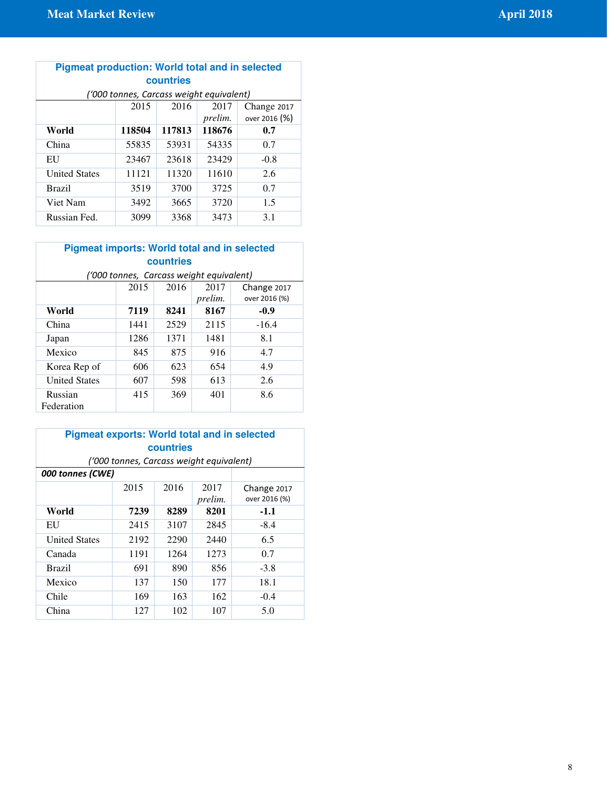## **Pigmeat production: World total and in selected countries**

| ('000 tonnes, Carcass weight equivalent) |        |        |         |               |  |
|------------------------------------------|--------|--------|---------|---------------|--|
|                                          | 2015   | 2016   | 2017    | Change 2017   |  |
|                                          |        |        | prelim. | over 2016 (%) |  |
| World                                    | 118504 | 117813 | 118676  | 0.7           |  |
| China                                    | 55835  | 53931  | 54335   | 0.7           |  |
| EU                                       | 23467  | 23618  | 23429   | $-0.8$        |  |
| <b>United States</b>                     | 11121  | 11320  | 11610   | 2.6           |  |
| <b>Brazil</b>                            | 3519   | 3700   | 3725    | 0.7           |  |
| Viet Nam                                 | 3492   | 3665   | 3720    | 1.5           |  |
| Russian Fed.                             | 3099   | 3368   | 3473    | 3.1           |  |

## **Pigmeat imports: World total and in selected countries**

| ('000 tonnes, Carcass weight equivalent) |      |      |                 |                              |  |
|------------------------------------------|------|------|-----------------|------------------------------|--|
|                                          | 2015 | 2016 | 2017<br>prelim. | Change 2017<br>over 2016 (%) |  |
| World                                    | 7119 | 8241 | 8167            | $-0.9$                       |  |
| China                                    | 1441 | 2529 | 2115            | $-16.4$                      |  |
| Japan                                    | 1286 | 1371 | 1481            | 8.1                          |  |
| Mexico                                   | 845  | 875  | 916             | 4.7                          |  |
| Korea Rep of                             | 606  | 623  | 654             | 4.9                          |  |
| <b>United States</b>                     | 607  | 598  | 613             | 2.6                          |  |
| Russian<br>Federation                    | 415  | 369  | 401             | 8.6                          |  |

| <b>Pigmeat exports: World total and in selected</b> |                                          |           |      |                       |  |  |
|-----------------------------------------------------|------------------------------------------|-----------|------|-----------------------|--|--|
|                                                     |                                          | countries |      |                       |  |  |
|                                                     | ('000 tonnes, Carcass weight equivalent) |           |      |                       |  |  |
| 000 tonnes (CWE)                                    |                                          |           |      |                       |  |  |
|                                                     | 2016<br>2015<br>2017<br>prelim.          |           |      |                       |  |  |
| World                                               | 7239                                     | 8289      | 8201 | over 2016 (%)<br>-1.1 |  |  |
| EU                                                  | 2415                                     | 3107      | 2845 | $-8.4$                |  |  |
| <b>United States</b>                                | 2192                                     | 2290      | 2440 | 6.5                   |  |  |
| Canada                                              | 1191                                     | 1264      | 1273 | 0.7                   |  |  |
| Brazil                                              | 691                                      | 890       | 856  | $-3.8$                |  |  |
| Mexico                                              | 137                                      | 150       | 177  | 18.1                  |  |  |
| Chile                                               | 169                                      | 163       | 162  | $-0.4$                |  |  |
| China                                               | 127                                      | 102       | 107  | 5.0                   |  |  |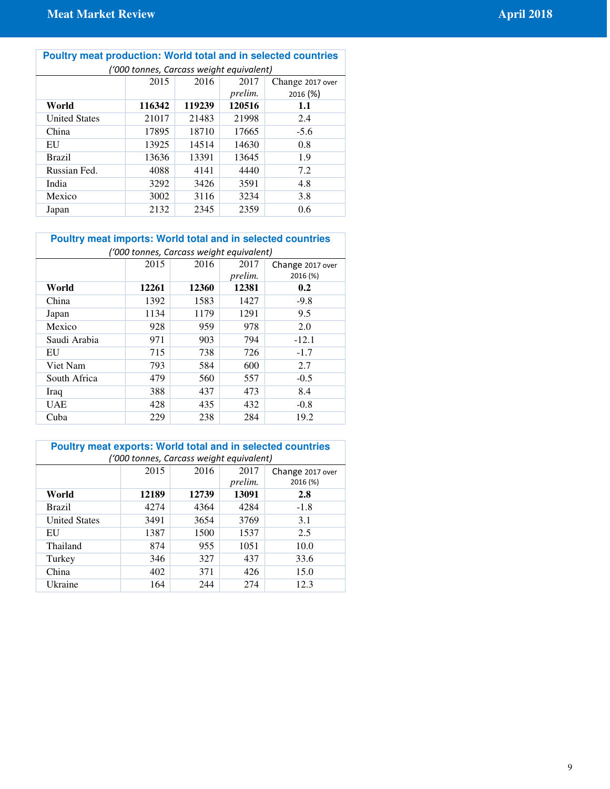| Poultry meat production: World total and in selected countries |
|----------------------------------------------------------------|
| $(1000$ tonnes Carcass weight equivalent)                      |

| ('000 tonnes, Carcass weight equivalent) |        |        |         |                  |  |
|------------------------------------------|--------|--------|---------|------------------|--|
|                                          | 2015   | 2016   | 2017    | Change 2017 over |  |
|                                          |        |        | prelim. | 2016 (%)         |  |
| World                                    | 116342 | 119239 | 120516  | 1.1              |  |
| <b>United States</b>                     | 21017  | 21483  | 21998   | 2.4              |  |
| China                                    | 17895  | 18710  | 17665   | $-5.6$           |  |
| EU                                       | 13925  | 14514  | 14630   | 0.8              |  |
| <b>Brazil</b>                            | 13636  | 13391  | 13645   | 1.9              |  |
| Russian Fed.                             | 4088   | 4141   | 4440    | 7.2              |  |
| India                                    | 3292   | 3426   | 3591    | 4.8              |  |
| Mexico                                   | 3002   | 3116   | 3234    | 3.8              |  |
| Japan                                    | 2132   | 2345   | 2359    | 0.6              |  |

## **Poultry meat imports: World total and in selected countries**

| ('000 tonnes, Carcass weight equivalent) |       |       |                |                  |
|------------------------------------------|-------|-------|----------------|------------------|
|                                          | 2015  | 2016  | 2017           | Change 2017 over |
|                                          |       |       | <i>prelim.</i> | 2016 (%)         |
| World                                    | 12261 | 12360 | 12381          | 0.2              |
| China                                    | 1392  | 1583  | 1427           | $-9.8$           |
| Japan                                    | 1134  | 1179  | 1291           | 9.5              |
| Mexico                                   | 928   | 959   | 978            | 2.0              |
| Saudi Arabia                             | 971   | 903   | 794            | $-12.1$          |
| EU                                       | 715   | 738   | 726            | $-1.7$           |
| Viet Nam                                 | 793   | 584   | 600            | 2.7              |
| South Africa                             | 479   | 560   | 557            | $-0.5$           |
| Iraq                                     | 388   | 437   | 473            | 8.4              |
| <b>UAE</b>                               | 428   | 435   | 432            | $-0.8$           |
| Cuba                                     | 229   | 238   | 284            | 19.2             |

| <b>Poultry meat exports: World total and in selected countries</b> |       |       |         |                  |
|--------------------------------------------------------------------|-------|-------|---------|------------------|
| ('000 tonnes, Carcass weight equivalent)                           |       |       |         |                  |
|                                                                    | 2015  | 2016  | 2017    | Change 2017 over |
|                                                                    |       |       | prelim. | 2016 (%)         |
| World                                                              | 12189 | 12739 | 13091   | 2.8              |
| <b>Brazil</b>                                                      | 4274  | 4364  | 4284    | $-1.8$           |
| <b>United States</b>                                               | 3491  | 3654  | 3769    | 3.1              |
| EU                                                                 | 1387  | 1500  | 1537    | 2.5              |
| Thailand                                                           | 874   | 955   | 1051    | 10.0             |
| Turkey                                                             | 346   | 327   | 437     | 33.6             |
| China                                                              | 402   | 371   | 426     | 15.0             |
| Ukraine                                                            | 164   | 244   | 274     | 12.3             |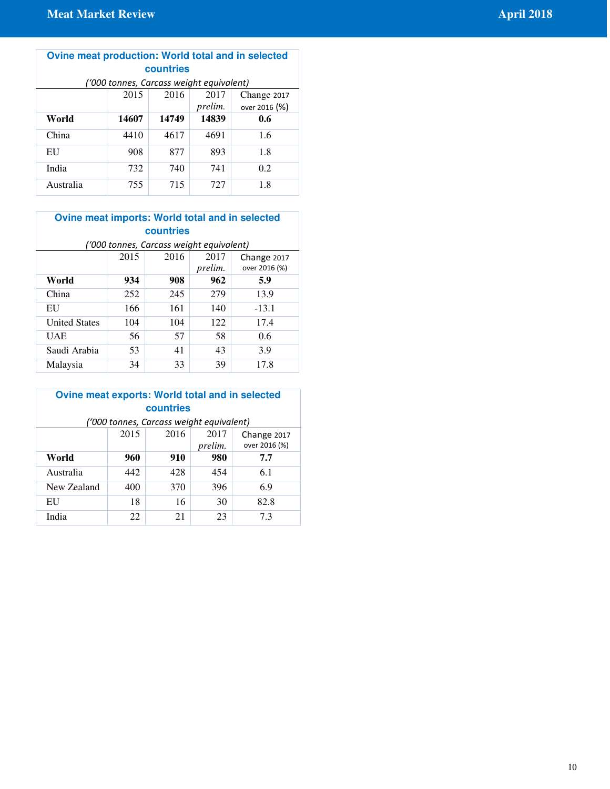#### **Ovine meat production: World total and in selected countries**   $(1000 \t{tonnes},$  Carcass weight equivalent)<br>2015 2016 2017 Ch 2015 2016 *prelim.* Change 2017 over 2016 (%) **World 14607 14749 14839 0.6**  China 4410 4617 4691 1.6

| -------   | .   | .   | .   | .   |
|-----------|-----|-----|-----|-----|
| EU        | 908 | 877 | 893 | 1.8 |
| India     | 732 | 740 | 741 | 0.2 |
| Australia | 755 | 715 | 727 | 1.8 |

## **Ovine meat imports: World total and in selected countries**

| ('000 tonnes, Carcass weight equivalent) |      |      |                 |                              |
|------------------------------------------|------|------|-----------------|------------------------------|
|                                          | 2015 | 2016 | 2017<br>prelim. | Change 2017<br>over 2016 (%) |
| World                                    | 934  | 908  | 962             | 5.9                          |
| China                                    | 252  | 245  | 279             | 13.9                         |
| EU                                       | 166  | 161  | 140             | $-13.1$                      |
| <b>United States</b>                     | 104  | 104  | 122             | 17.4                         |
| UAE                                      | 56   | 57   | 58              | 0.6                          |
| Saudi Arabia                             | 53   | 41   | 43              | 3.9                          |
| Malaysia                                 | 34   | 33   | 39              | 17.8                         |

#### **Ovine meat exports: World total and in selected countries**  ('000 tonnes, Carcass weight equivalent)

| ''000 tonnes, Carcass weight equivalent) |      |      |                 |                              |
|------------------------------------------|------|------|-----------------|------------------------------|
|                                          | 2015 | 2016 | 2017<br>prelim. | Change 2017<br>over 2016 (%) |
| World                                    | 960  | 910  | 980             | 7.7                          |
| Australia                                | 442  | 428  | 454             | 6.1                          |
| New Zealand                              | 400  | 370  | 396             | 6.9                          |
| EU                                       | 18   | 16   | 30              | 82.8                         |
| India                                    | 22   | 21   | 23              | 7.3                          |